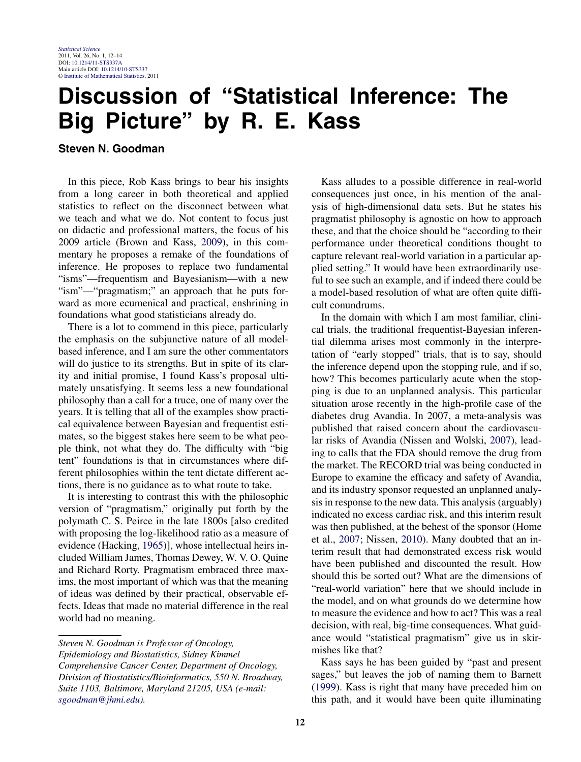## **Discussion of "Statistical Inference: The Big Picture" by R. E. Kass**

**Steven N. Goodman**

In this piece, Rob Kass brings to bear his insights from a long career in both theoretical and applied statistics to reflect on the disconnect between what we teach and what we do. Not content to focus just on didactic and professional matters, the focus of his 2009 article (Brown and Kass, [2009\)](#page-2-0), in this commentary he proposes a remake of the foundations of inference. He proposes to replace two fundamental "isms"—frequentism and Bayesianism—with a new "ism"—"pragmatism;" an approach that he puts forward as more ecumenical and practical, enshrining in foundations what good statisticians already do.

There is a lot to commend in this piece, particularly the emphasis on the subjunctive nature of all modelbased inference, and I am sure the other commentators will do justice to its strengths. But in spite of its clarity and initial promise, I found Kass's proposal ultimately unsatisfying. It seems less a new foundational philosophy than a call for a truce, one of many over the years. It is telling that all of the examples show practical equivalence between Bayesian and frequentist estimates, so the biggest stakes here seem to be what people think, not what they do. The difficulty with "big tent" foundations is that in circumstances where different philosophies within the tent dictate different actions, there is no guidance as to what route to take.

It is interesting to contrast this with the philosophic version of "pragmatism," originally put forth by the polymath C. S. Peirce in the late 1800s [also credited with proposing the log-likelihood ratio as a measure of evidence (Hacking, [1965\)](#page-2-0)], whose intellectual heirs included William James, Thomas Dewey, W. V. O. Quine and Richard Rorty. Pragmatism embraced three maxims, the most important of which was that the meaning of ideas was defined by their practical, observable effects. Ideas that made no material difference in the real world had no meaning.

*Epidemiology and Biostatistics, Sidney Kimmel*

Kass alludes to a possible difference in real-world consequences just once, in his mention of the analysis of high-dimensional data sets. But he states his pragmatist philosophy is agnostic on how to approach these, and that the choice should be "according to their performance under theoretical conditions thought to capture relevant real-world variation in a particular applied setting." It would have been extraordinarily useful to see such an example, and if indeed there could be a model-based resolution of what are often quite difficult conundrums.

In the domain with which I am most familiar, clinical trials, the traditional frequentist-Bayesian inferential dilemma arises most commonly in the interpretation of "early stopped" trials, that is to say, should the inference depend upon the stopping rule, and if so, how? This becomes particularly acute when the stopping is due to an unplanned analysis. This particular situation arose recently in the high-profile case of the diabetes drug Avandia. In 2007, a meta-analysis was published that raised concern about the cardiovascular risks of Avandia (Nissen and Wolski, [2007\)](#page-2-0), leading to calls that the FDA should remove the drug from the market. The RECORD trial was being conducted in Europe to examine the efficacy and safety of Avandia, and its industry sponsor requested an unplanned analysis in response to the new data. This analysis (arguably) indicated no excess cardiac risk, and this interim result was then published, at the behest of the sponsor (Home et al., [2007;](#page-2-0) Nissen, [2010\)](#page-2-0). Many doubted that an interim result that had demonstrated excess risk would have been published and discounted the result. How should this be sorted out? What are the dimensions of "real-world variation" here that we should include in the model, and on what grounds do we determine how to measure the evidence and how to act? This was a real decision, with real, big-time consequences. What guidance would "statistical pragmatism" give us in skirmishes like that?

Kass says he has been guided by "past and present sages," but leaves the job of naming them to Barnett [\(1999\)](#page-1-0). Kass is right that many have preceded him on this path, and it would have been quite illuminating

*Steven N. Goodman is Professor of Oncology,*

*Comprehensive Cancer Center, Department of Oncology, Division of Biostatistics/Bioinformatics, 550 N. Broadway, Suite 1103, Baltimore, Maryland 21205, USA (e-mail: [sgoodman@jhmi.edu](mailto:sgoodman@jhmi.edu)).*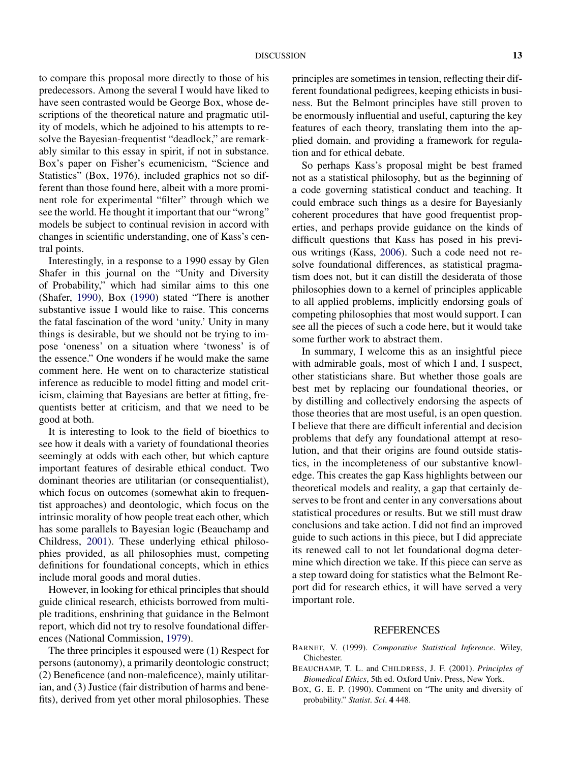<span id="page-1-0"></span>to compare this proposal more directly to those of his predecessors. Among the several I would have liked to have seen contrasted would be George Box, whose descriptions of the theoretical nature and pragmatic utility of models, which he adjoined to his attempts to resolve the Bayesian-frequentist "deadlock," are remarkably similar to this essay in spirit, if not in substance. Box's paper on Fisher's ecumenicism, "Science and Statistics" (Box, 1976), included graphics not so different than those found here, albeit with a more prominent role for experimental "filter" through which we see the world. He thought it important that our "wrong" models be subject to continual revision in accord with changes in scientific understanding, one of Kass's central points.

Interestingly, in a response to a 1990 essay by Glen Shafer in this journal on the "Unity and Diversity of Probability," which had similar aims to this one (Shafer, [1990\)](#page-2-0), Box (1990) stated "There is another substantive issue I would like to raise. This concerns the fatal fascination of the word 'unity.' Unity in many things is desirable, but we should not be trying to impose 'oneness' on a situation where 'twoness' is of the essence." One wonders if he would make the same comment here. He went on to characterize statistical inference as reducible to model fitting and model criticism, claiming that Bayesians are better at fitting, frequentists better at criticism, and that we need to be good at both.

It is interesting to look to the field of bioethics to see how it deals with a variety of foundational theories seemingly at odds with each other, but which capture important features of desirable ethical conduct. Two dominant theories are utilitarian (or consequentialist), which focus on outcomes (somewhat akin to frequentist approaches) and deontologic, which focus on the intrinsic morality of how people treat each other, which has some parallels to Bayesian logic (Beauchamp and Childress, 2001). These underlying ethical philosophies provided, as all philosophies must, competing definitions for foundational concepts, which in ethics include moral goods and moral duties.

However, in looking for ethical principles that should guide clinical research, ethicists borrowed from multiple traditions, enshrining that guidance in the Belmont report, which did not try to resolve foundational differences (National Commission, [1979\)](#page-2-0).

The three principles it espoused were (1) Respect for persons (autonomy), a primarily deontologic construct; (2) Beneficence (and non-maleficence), mainly utilitarian, and (3) Justice (fair distribution of harms and benefits), derived from yet other moral philosophies. These

principles are sometimes in tension, reflecting their different foundational pedigrees, keeping ethicists in business. But the Belmont principles have still proven to be enormously influential and useful, capturing the key features of each theory, translating them into the applied domain, and providing a framework for regulation and for ethical debate.

So perhaps Kass's proposal might be best framed not as a statistical philosophy, but as the beginning of a code governing statistical conduct and teaching. It could embrace such things as a desire for Bayesianly coherent procedures that have good frequentist properties, and perhaps provide guidance on the kinds of difficult questions that Kass has posed in his previous writings (Kass, [2006\)](#page-2-0). Such a code need not resolve foundational differences, as statistical pragmatism does not, but it can distill the desiderata of those philosophies down to a kernel of principles applicable to all applied problems, implicitly endorsing goals of competing philosophies that most would support. I can see all the pieces of such a code here, but it would take some further work to abstract them.

In summary, I welcome this as an insightful piece with admirable goals, most of which I and, I suspect, other statisticians share. But whether those goals are best met by replacing our foundational theories, or by distilling and collectively endorsing the aspects of those theories that are most useful, is an open question. I believe that there are difficult inferential and decision problems that defy any foundational attempt at resolution, and that their origins are found outside statistics, in the incompleteness of our substantive knowledge. This creates the gap Kass highlights between our theoretical models and reality, a gap that certainly deserves to be front and center in any conversations about statistical procedures or results. But we still must draw conclusions and take action. I did not find an improved guide to such actions in this piece, but I did appreciate its renewed call to not let foundational dogma determine which direction we take. If this piece can serve as a step toward doing for statistics what the Belmont Report did for research ethics, it will have served a very important role.

## **REFERENCES**

- BARNET, V. (1999). *Comporative Statistical Inference*. Wiley, Chichester.
- BEAUCHAMP, T. L. and CHILDRESS, J. F. (2001). *Principles of Biomedical Ethics*, 5th ed. Oxford Univ. Press, New York.
- BOX, G. E. P. (1990). Comment on "The unity and diversity of probability." *Statist*. *Sci*. **4** 448.